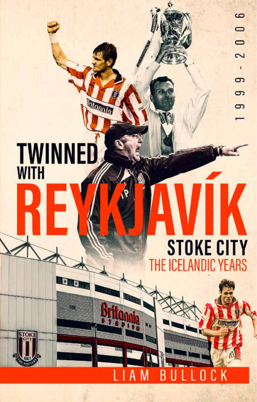# **TWINNED**

**Hounter** 

# **STOKE CITY** THE ICELANDIC YEARS

U

B

A I

**Britann** 

 $C$   $K$ 

0

6

 $\Box$  $\overline{\phantom{0}}$ 

 $\sim$ п రా 5

రా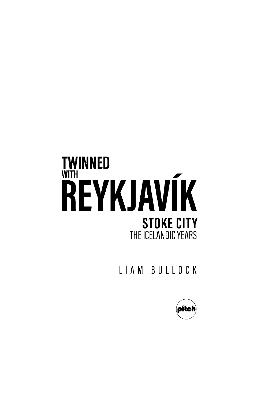# **TWINNED WITH REYKJAVÍK STOKE CITY** THE ICELANDIC YEARS

LIAM BULLOCK

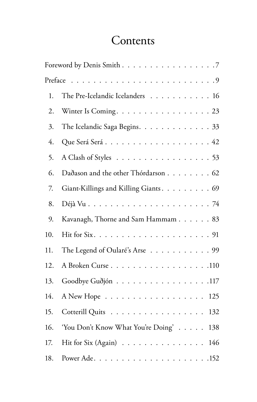## **Contents**

|     | Foreword by Denis Smith 7                 |
|-----|-------------------------------------------|
|     |                                           |
| 1.  | The Pre-Icelandic Icelanders 16           |
| 2.  | Winter Is Coming. 23                      |
| 3.  | The Icelandic Saga Begins. 33             |
| 4.  |                                           |
| 5.  | A Clash of Styles 53                      |
| 6.  | Dadason and the other Thórdarson 62       |
| 7.  | Giant-Killings and Killing Giants. 69     |
| 8.  |                                           |
| 9.  | Kavanagh, Thorne and Sam Hammam 83        |
| 10. |                                           |
| 11. | The Legend of Oularé's Arse 99            |
| 12. | A Broken Curse 110                        |
| 13. | Goodbye Guðjón 117                        |
| 14. | 125                                       |
| 15. | Cotterill Quits<br>132                    |
| 16. | 'You Don't Know What You're Doing'<br>138 |
| 17. | Hit for Six (Again)<br>146                |
| 18. |                                           |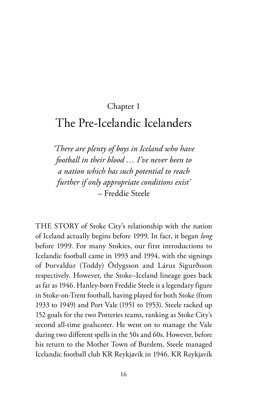#### Chapter 1

### The Pre-Icelandic Icelanders

*'There are plenty of boys in Iceland who have football in their blood … I've never been to a nation which has such potential to reach further if only appropriate conditions exist' –* Freddie Steele

THE STORY of Stoke City's relationship with the nation of Iceland actually begins before 1999. In fact, it began *long* before 1999. For many Stokies, our first introductions to Icelandic football came in 1993 and 1994, with the signings of Þorvaldur (Toddy) Örlygsson and Lárus Sigurðsson respectively. However, the Stoke–Iceland lineage goes back as far as 1946. Hanley-born Freddie Steele is a legendary figure in Stoke-on-Trent football, having played for both Stoke (from 1933 to 1949) and Port Vale (1951 to 1953). Steele racked up 152 goals for the two Potteries teams, ranking as Stoke City's second all-time goalscorer. He went on to manage the Vale during two different spells in the 50s and 60s. However, before his return to the Mother Town of Burslem, Steele managed Icelandic football club KR Reykjavík in 1946. KR Reykjavík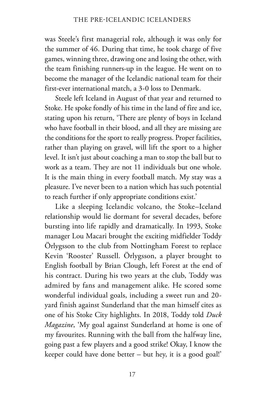was Steele's first managerial role, although it was only for the summer of 46. During that time, he took charge of five games, winning three, drawing one and losing the other, with the team finishing runners-up in the league. He went on to become the manager of the Icelandic national team for their first-ever international match, a 3-0 loss to Denmark.

Steele left Iceland in August of that year and returned to Stoke. He spoke fondly of his time in the land of fire and ice, stating upon his return, 'There are plenty of boys in Iceland who have football in their blood, and all they are missing are the conditions for the sport to really progress. Proper facilities, rather than playing on gravel, will lift the sport to a higher level. It isn't just about coaching a man to stop the ball but to work as a team. They are not 11 individuals but one whole. It is the main thing in every football match. My stay was a pleasure. I've never been to a nation which has such potential to reach further if only appropriate conditions exist.'

Like a sleeping Icelandic volcano, the Stoke–Iceland relationship would lie dormant for several decades, before bursting into life rapidly and dramatically. In 1993, Stoke manager Lou Macari brought the exciting midfielder Toddy Örlygsson to the club from Nottingham Forest to replace Kevin 'Rooster' Russell. Örlygsson, a player brought to English football by Brian Clough, left Forest at the end of his contract. During his two years at the club, Toddy was admired by fans and management alike. He scored some wonderful individual goals, including a sweet run and 20 yard finish against Sunderland that the man himself cites as one of his Stoke City highlights. In 2018, Toddy told *Duck Magazine*, 'My goal against Sunderland at home is one of my favourites. Running with the ball from the halfway line, going past a few players and a good strike! Okay, I know the keeper could have done better – but hey, it is a good goal!'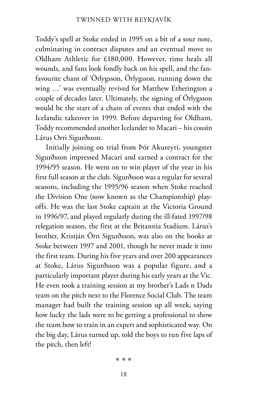Toddy's spell at Stoke ended in 1995 on a bit of a sour note, culminating in contract disputes and an eventual move to Oldham Athletic for £180,000. However, time heals all wounds, and fans look fondly back on his spell, and the fanfavourite chant of 'Örlygsson, Örlygsson, running down the wing …' was eventually revived for Matthew Etherington a couple of decades later. Ultimately, the signing of Örlygsson would be the start of a chain of events that ended with the Icelandic takeover in 1999. Before departing for Oldham, Toddy recommended another Icelander to Macari – his cousin Lárus Orri Sigurðsson.

Initially joining on trial from Þór Akureyri, youngster Sigurðsson impressed Macari and earned a contract for the 1994/95 season. He went on to win player of the year in his first full season at the club. Sigurðsson was a regular for several seasons, including the 1995/96 season when Stoke reached the Division One (now known as the Championship) playoffs. He was the last Stoke captain at the Victoria Ground in 1996/97, and played regularly during the ill-fated 1997/98 relegation season, the first at the Britannia Stadium. Lárus's brother, Kristján Örn Sigurðsson, was also on the books at Stoke between 1997 and 2001, though he never made it into the first team. During his five years and over 200 appearances at Stoke, Lárus Sigurðsson was a popular figure, and a particularly important player during his early years at the Vic. He even took a training session at my brother's Lads n Dads team on the pitch next to the Florence Social Club. The team manager had built the training session up all week, saying how lucky the lads were to be getting a professional to show the team how to train in an expert and sophisticated way. On the big day, Lárus turned up, told the boys to run five laps of the pitch, then left!

\*\*\*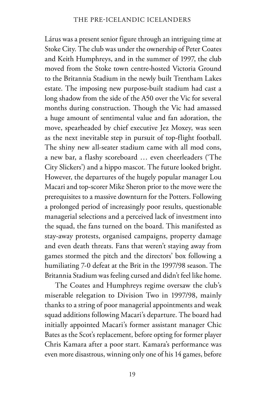Lárus was a present senior figure through an intriguing time at Stoke City. The club was under the ownership of Peter Coates and Keith Humphreys, and in the summer of 1997, the club moved from the Stoke town centre-hosted Victoria Ground to the Britannia Stadium in the newly built Trentham Lakes estate. The imposing new purpose-built stadium had cast a long shadow from the side of the A50 over the Vic for several months during construction. Though the Vic had amassed a huge amount of sentimental value and fan adoration, the move, spearheaded by chief executive Jez Moxey, was seen as the next inevitable step in pursuit of top-flight football. The shiny new all-seater stadium came with all mod cons, a new bar, a flashy scoreboard … even cheerleaders ('The City Slickers') and a hippo mascot. The future looked bright. However, the departures of the hugely popular manager Lou Macari and top-scorer Mike Sheron prior to the move were the prerequisites to a massive downturn for the Potters. Following a prolonged period of increasingly poor results, questionable managerial selections and a perceived lack of investment into the squad, the fans turned on the board. This manifested as stay-away protests, organised campaigns, property damage and even death threats. Fans that weren't staying away from games stormed the pitch and the directors' box following a humiliating 7-0 defeat at the Brit in the 1997/98 season. The Britannia Stadium was feeling cursed and didn't feel like home.

The Coates and Humphreys regime oversaw the club's miserable relegation to Division Two in 1997/98, mainly thanks to a string of poor managerial appointments and weak squad additions following Macari's departure. The board had initially appointed Macari's former assistant manager Chic Bates as the Scot's replacement, before opting for former player Chris Kamara after a poor start. Kamara's performance was even more disastrous, winning only one of his 14 games, before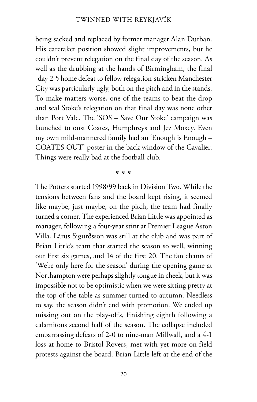being sacked and replaced by former manager Alan Durban. His caretaker position showed slight improvements, but he couldn't prevent relegation on the final day of the season. As well as the drubbing at the hands of Birmingham, the final -day 2-5 home defeat to fellow relegation-stricken Manchester City was particularly ugly, both on the pitch and in the stands. To make matters worse, one of the teams to beat the drop and seal Stoke's relegation on that final day was none other than Port Vale. The 'SOS – Save Our Stoke' campaign was launched to oust Coates, Humphreys and Jez Moxey. Even my own mild-mannered family had an 'Enough is Enough – COATES OUT' poster in the back window of the Cavalier. Things were really bad at the football club.

\*\*\*

The Potters started 1998/99 back in Division Two. While the tensions between fans and the board kept rising, it seemed like maybe, just maybe, on the pitch, the team had finally turned a corner. The experienced Brian Little was appointed as manager, following a four-year stint at Premier League Aston Villa. Lárus Sigurðsson was still at the club and was part of Brian Little's team that started the season so well, winning our first six games, and 14 of the first 20. The fan chants of 'We're only here for the season' during the opening game at Northampton were perhaps slightly tongue in cheek, but it was impossible not to be optimistic when we were sitting pretty at the top of the table as summer turned to autumn. Needless to say, the season didn't end with promotion. We ended up missing out on the play-offs, finishing eighth following a calamitous second half of the season. The collapse included embarrassing defeats of 2-0 to nine-man Millwall, and a 4-1 loss at home to Bristol Rovers, met with yet more on-field protests against the board. Brian Little left at the end of the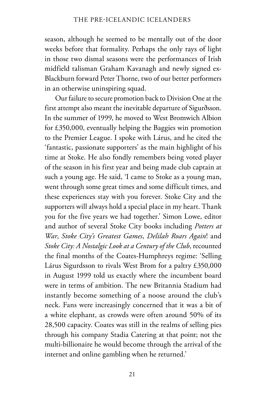season, although he seemed to be mentally out of the door weeks before that formality. Perhaps the only rays of light in those two dismal seasons were the performances of Irish midfield talisman Graham Kavanagh and newly signed ex-Blackburn forward Peter Thorne, two of our better performers in an otherwise uninspiring squad.

Our failure to secure promotion back to Division One at the first attempt also meant the inevitable departure of Sigurðsson. In the summer of 1999, he moved to West Bromwich Albion for £350,000, eventually helping the Baggies win promotion to the Premier League. I spoke with Lárus, and he cited the 'fantastic, passionate supporters' as the main highlight of his time at Stoke. He also fondly remembers being voted player of the season in his first year and being made club captain at such a young age. He said, 'I came to Stoke as a young man, went through some great times and some difficult times, and these experiences stay with you forever. Stoke City and the supporters will always hold a special place in my heart. Thank you for the five years we had together.' Simon Lowe, editor and author of several Stoke City books including *Potters at War*, *Stoke City's Greatest Games*, *Delilah Roars Again*! and *Stoke City: A Nostalgic Look at a Century of the Club*, recounted the final months of the Coates-Humphreys regime: 'Selling Lárus Sigurdsson to rivals West Brom for a paltry £350,000 in August 1999 told us exactly where the incumbent board were in terms of ambition. The new Britannia Stadium had instantly become something of a noose around the club's neck. Fans were increasingly concerned that it was a bit of a white elephant, as crowds were often around 50% of its 28,500 capacity. Coates was still in the realms of selling pies through his company Stadia Catering at that point; not the multi-billionaire he would become through the arrival of the internet and online gambling when he returned.'